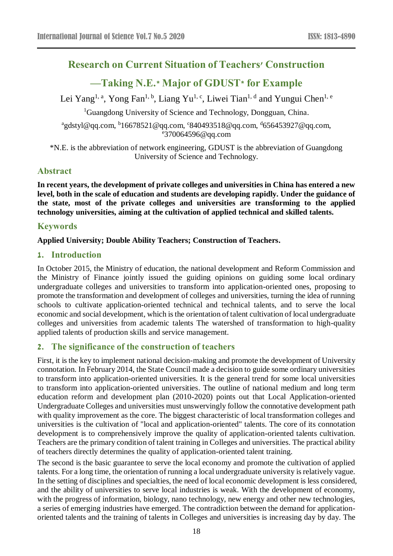# **Research on Current Situation of Teachers' Construction**

# **—Taking N.E.\* Major of GDUST\* for Example**

Lei Yang<sup>1, a</sup>, Yong Fan<sup>1, b</sup>, Liang Yu<sup>1, c</sup>, Liwei Tian<sup>1, d</sup> and Yungui Chen<sup>1, e</sup>

<sup>1</sup>Guangdong University of Science and Technology, Dongguan, China.

 $^{a}$ gdstyl@qq.com,  $^{b}$ 16678521@qq.com, °840493518@qq.com,  $^{d}$ 656453927@qq.com, e 370064596@qq.com

\*N.E. is the abbreviation of network engineering, GDUST is the abbreviation of Guangdong University of Science and Technology.

#### **Abstract**

**In recent years, the development of private colleges and universities in China has entered a new level, both in the scale of education and students are developing rapidly. Under the guidance of the state, most of the private colleges and universities are transforming to the applied technology universities, aiming at the cultivation of applied technical and skilled talents.**

## **Keywords**

#### **Applied University; Double Ability Teachers; Construction of Teachers.**

#### **1. Introduction**

In October 2015, the Ministry of education, the national development and Reform Commission and the Ministry of Finance jointly issued the guiding opinions on guiding some local ordinary undergraduate colleges and universities to transform into application-oriented ones, proposing to promote the transformation and development of colleges and universities, turning the idea of running schools to cultivate application-oriented technical and technical talents, and to serve the local economic and social development, which is the orientation of talent cultivation of local undergraduate colleges and universities from academic talents The watershed of transformation to high-quality applied talents of production skills and service management.

## **2. The significance of the construction of teachers**

First, it is the key to implement national decision-making and promote the development of University connotation. In February 2014, the State Council made a decision to guide some ordinary universities to transform into application-oriented universities. It is the general trend for some local universities to transform into application-oriented universities. The outline of national medium and long term education reform and development plan (2010-2020) points out that Local Application-oriented Undergraduate Colleges and universities must unswervingly follow the connotative development path with quality improvement as the core. The biggest characteristic of local transformation colleges and universities is the cultivation of "local and application-oriented" talents. The core of its connotation development is to comprehensively improve the quality of application-oriented talents cultivation. Teachers are the primary condition of talent training in Colleges and universities. The practical ability of teachers directly determines the quality of application-oriented talent training.

The second is the basic guarantee to serve the local economy and promote the cultivation of applied talents. For a long time, the orientation of running a local undergraduate university is relatively vague. In the setting of disciplines and specialties, the need of local economic development is less considered, and the ability of universities to serve local industries is weak. With the development of economy, with the progress of information, biology, nano technology, new energy and other new technologies, a series of emerging industries have emerged. The contradiction between the demand for applicationoriented talents and the training of talents in Colleges and universities is increasing day by day. The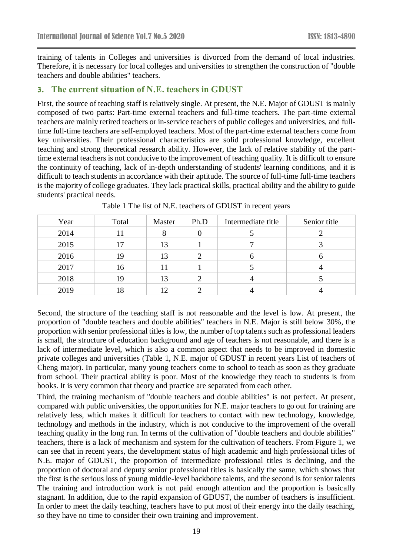training of talents in Colleges and universities is divorced from the demand of local industries. Therefore, it is necessary for local colleges and universities to strengthen the construction of "double teachers and double abilities" teachers.

#### **3. The current situation of N.E. teachers in GDUST**

First, the source of teaching staff is relatively single. At present, the N.E. Major of GDUST is mainly composed of two parts: Part-time external teachers and full-time teachers. The part-time external teachers are mainly retired teachers or in-service teachers of public colleges and universities, and fulltime full-time teachers are self-employed teachers. Most of the part-time external teachers come from key universities. Their professional characteristics are solid professional knowledge, excellent teaching and strong theoretical research ability. However, the lack of relative stability of the parttime external teachers is not conducive to the improvement of teaching quality. It is difficult to ensure the continuity of teaching, lack of in-depth understanding of students' learning conditions, and it is difficult to teach students in accordance with their aptitude. The source of full-time full-time teachers is the majority of college graduates. They lack practical skills, practical ability and the ability to guide students' practical needs.

| Year | Total | Master   | Ph.D | Intermediate title | Senior title |
|------|-------|----------|------|--------------------|--------------|
| 2014 | 11    | $\Omega$ | 0    |                    |              |
| 2015 | 17    | 13       |      |                    |              |
| 2016 | 19    | 13       | 2    | n                  |              |
| 2017 | 16    | 11       |      |                    | 4            |
| 2018 | 19    | 13       | 2    |                    |              |
| 2019 | 18    | 12       |      |                    |              |

Table 1 The list of N.E. teachers of GDUST in recent years

Second, the structure of the teaching staff is not reasonable and the level is low. At present, the proportion of "double teachers and double abilities" teachers in N.E. Major is still below 30%, the proportion with senior professional titles is low, the number of top talents such as professional leaders is small, the structure of education background and age of teachers is not reasonable, and there is a lack of intermediate level, which is also a common aspect that needs to be improved in domestic private colleges and universities (Table 1, N.E. major of GDUST in recent years List of teachers of Cheng major). In particular, many young teachers come to school to teach as soon as they graduate from school. Their practical ability is poor. Most of the knowledge they teach to students is from books. It is very common that theory and practice are separated from each other.

Third, the training mechanism of "double teachers and double abilities" is not perfect. At present, compared with public universities, the opportunities for N.E. major teachers to go out for training are relatively less, which makes it difficult for teachers to contact with new technology, knowledge, technology and methods in the industry, which is not conducive to the improvement of the overall teaching quality in the long run. In terms of the cultivation of "double teachers and double abilities" teachers, there is a lack of mechanism and system for the cultivation of teachers. From Figure 1, we can see that in recent years, the development status of high academic and high professional titles of N.E. major of GDUST, the proportion of intermediate professional titles is declining, and the proportion of doctoral and deputy senior professional titles is basically the same, which shows that the first is the serious loss of young middle-level backbone talents, and the second is for senior talents The training and introduction work is not paid enough attention and the proportion is basically stagnant. In addition, due to the rapid expansion of GDUST, the number of teachers is insufficient. In order to meet the daily teaching, teachers have to put most of their energy into the daily teaching, so they have no time to consider their own training and improvement.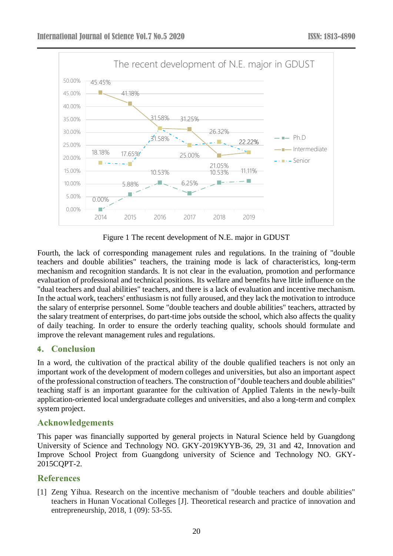

Figure 1 The recent development of N.E. major in GDUST

Fourth, the lack of corresponding management rules and regulations. In the training of "double teachers and double abilities" teachers, the training mode is lack of characteristics, long-term mechanism and recognition standards. It is not clear in the evaluation, promotion and performance evaluation of professional and technical positions. Its welfare and benefits have little influence on the "dual teachers and dual abilities" teachers, and there is a lack of evaluation and incentive mechanism. In the actual work, teachers' enthusiasm is not fully aroused, and they lack the motivation to introduce the salary of enterprise personnel. Some "double teachers and double abilities" teachers, attracted by the salary treatment of enterprises, do part-time jobs outside the school, which also affects the quality of daily teaching. In order to ensure the orderly teaching quality, schools should formulate and improve the relevant management rules and regulations.

#### **4. Conclusion**

In a word, the cultivation of the practical ability of the double qualified teachers is not only an important work of the development of modern colleges and universities, but also an important aspect of the professional construction of teachers. The construction of "double teachers and double abilities" teaching staff is an important guarantee for the cultivation of Applied Talents in the newly-built application-oriented local undergraduate colleges and universities, and also a long-term and complex system project.

## **Acknowledgements**

This paper was financially supported by general projects in Natural Science held by Guangdong University of Science and Technology NO. GKY-2019KYYB-36, 29, 31 and 42, Innovation and Improve School Project from Guangdong university of Science and Technology NO. GKY-2015CQPT-2.

## **References**

[1] Zeng Yihua. Research on the incentive mechanism of "double teachers and double abilities" teachers in Hunan Vocational Colleges [J]. Theoretical research and practice of innovation and entrepreneurship, 2018, 1 (09): 53-55.